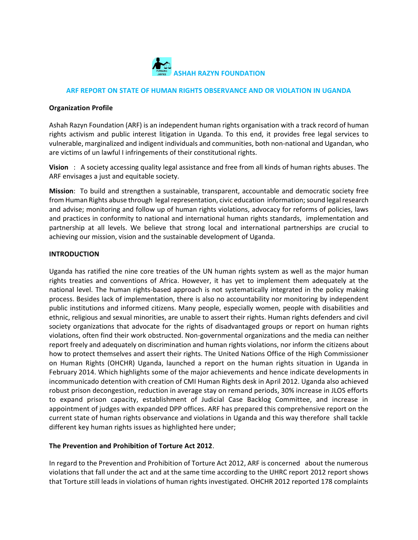

#### **ARF REPORT ON STATE OF HUMAN RIGHTS OBSERVANCE AND OR VIOLATION IN UGANDA**

#### **Organization Profile**

Ashah Razyn Foundation (ARF) is an independent human rights organisation with a track record of human rights activism and public interest litigation in Uganda. To this end, it provides free legal services to vulnerable, marginalized and indigent individuals and communities, both non-national and Ugandan, who are victims of un lawful I infringements of their constitutional rights.

**Vision** : A society accessing quality legal assistance and free from all kinds of human rights abuses. The ARF envisages a just and equitable society.

**Mission**: To build and strengthen a sustainable, transparent, accountable and democratic society free from Human Rights abuse through legal representation, civic education information; sound legal research and advise; monitoring and follow up of human rights violations, advocacy for reforms of policies, laws and practices in conformity to national and international human rights standards, implementation and partnership at all levels. We believe that strong local and international partnerships are crucial to achieving our mission, vision and the sustainable development of Uganda.

#### **INTRODUCTION**

Uganda has ratified the nine core treaties of the UN human rights system as well as the major human rights treaties and conventions of Africa. However, it has yet to implement them adequately at the national level. The human rights-based approach is not systematically integrated in the policy making process. Besides lack of implementation, there is also no accountability nor monitoring by independent public institutions and informed citizens. Many people, especially women, people with disabilities and ethnic, religious and sexual minorities, are unable to assert their rights. Human rights defenders and civil society organizations that advocate for the rights of disadvantaged groups or report on human rights violations, often find their work obstructed. Non-governmental organizations and the media can neither report freely and adequately on discrimination and human rights violations, nor inform the citizens about how to protect themselves and assert their rights. The United Nations Office of the High Commissioner on Human Rights (OHCHR) Uganda, launched a report on the human rights situation in Uganda in February 2014. Which highlights some of the major achievements and hence indicate developments in incommunicado detention with creation of CMI Human Rights desk in April 2012. Uganda also achieved robust prison decongestion, reduction in average stay on remand periods, 30% increase in JLOS efforts to expand prison capacity, establishment of Judicial Case Backlog Committee, and increase in appointment of judges with expanded DPP offices. ARF has prepared this comprehensive report on the current state of human rights observance and violations in Uganda and this way therefore shall tackle different key human rights issues as highlighted here under;

## **The Prevention and Prohibition of Torture Act 2012**.

In regard to the Prevention and Prohibition of Torture Act 2012, ARF is concerned about the numerous violations that fall under the act and at the same time according to the UHRC report 2012 report shows that Torture still leads in violations of human rights investigated. OHCHR 2012 reported 178 complaints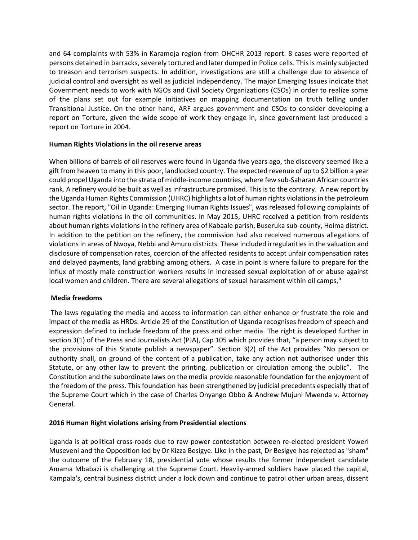and 64 complaints with 53% in Karamoja region from OHCHR 2013 report. 8 cases were reported of persons detained in barracks, severely tortured and later dumped in Police cells. This is mainly subjected to treason and terrorism suspects. In addition, investigations are still a challenge due to absence of judicial control and oversight as well as judicial independency. The major Emerging Issues indicate that Government needs to work with NGOs and Civil Society Organizations (CSOs) in order to realize some of the plans set out for example initiatives on mapping documentation on truth telling under Transitional Justice. On the other hand, ARF argues government and CSOs to consider developing a report on Torture, given the wide scope of work they engage in, since government last produced a report on Torture in 2004.

## **Human Rights Violations in the oil reserve areas**

When billions of barrels of [oil](http://topics.nytimes.com/top/news/business/energy-environment/oil-petroleum-and-gasoline/index.html?inline=nyt-classifier) reserves were found in Uganda five years ago, the discovery seemed like a gift from heaven to many in this poor, landlocked country. The expected revenue of up to \$2 billion a year could propel Uganda into the strata of middle-income countries, where few sub-Saharan African countries rank. A refinery would be built as well as infrastructure promised. This is to the contrary. A new report by the Uganda Human Rights Commission (UHRC) highlights a lot of human rights violations in the petroleum sector. The report, "Oil in Uganda: Emerging Human Rights Issues", was released following complaints of human rights violations in the oil communities. In May 2015, UHRC received a petition from residents about human rights violations in the refinery area of Kabaale parish, Buseruka sub-county, Hoima district. In addition to the petition on the refinery, the commission had also received numerous allegations of violations in areas of Nwoya, Nebbi and Amuru districts. These included irregularities in the valuation and disclosure of compensation rates, coercion of the affected residents to accept unfair compensation rates and delayed payments, land grabbing among others. A case in point is where failure to prepare for the influx of mostly male construction workers results in increased sexual exploitation of or abuse against local women and children. There are several allegations of sexual harassment within oil camps,"

## **Media freedoms**

The laws regulating the media and access to information can either enhance or frustrate the role and impact of the media as HRDs. Article 29 of the Constitution of Uganda recognises freedom of speech and expression defined to include freedom of the press and other media. The right is developed further in section 3(1) of the Press and Journalists Act (PJA), Cap 105 which provides that, "a person may subject to the provisions of this Statute publish a newspaper". Section 3(2) of the Act provides "No person or authority shall, on ground of the content of a publication, take any action not authorised under this Statute, or any other law to prevent the printing, publication or circulation among the public". The Constitution and the subordinate laws on the media provide reasonable foundation for the enjoyment of the freedom of the press. This foundation has been strengthened by judicial precedents especially that of the Supreme Court which in the case of Charles Onyango Obbo & Andrew Mujuni Mwenda v. Attorney General.

## **2016 Human Right violations arising from Presidential elections**

Uganda is at political cross-roads due to raw power contestation between re-elected president Yoweri Museveni and the Opposition led by Dr Kizza Besigye. Like in the past, Dr Besigye has rejected as "sham" the outcome of the February 18, presidential vote whose results the former Independent candidate Amama Mbabazi is challenging at the Supreme Court. Heavily-armed soldiers have placed the capital, Kampala's, central business district under a lock down and continue to patrol other urban areas, dissent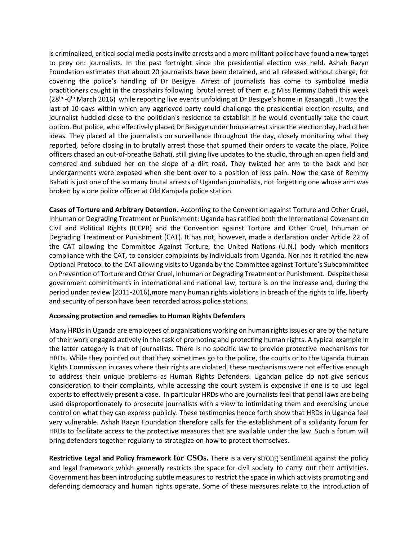is criminalized, critical social media posts invite arrests and a more militant police have found a new target to prey on: journalists. In the past fortnight since the presidential election was held, Ashah Razyn Foundation estimates that about 20 journalists have been detained, and all released without charge, for covering the police's handling of Dr Besigye. Arrest of journalists has come to symbolize media practitioners caught in the crosshairs following brutal arrest of them e. g Miss Remmy Bahati this week (28<sup>th</sup> -6<sup>th</sup> March 2016) while reporting live events unfolding at Dr Besigye's home in Kasangati . It was the last of 10-days within which any aggrieved party could challenge the presidential election results, and journalist huddled close to the politician's residence to establish if he would eventually take the court option. But police, who effectively placed Dr Besigye under house arrest since the election day, had other ideas. They placed all the journalists on surveillance throughout the day, closely monitoring what they reported, before closing in to brutally arrest those that spurned their orders to vacate the place. Police officers chased an out-of-breathe Bahati, still giving live updates to the studio, through an open field and cornered and subdued her on the slope of a dirt road. They twisted her arm to the back and her undergarments were exposed when she bent over to a position of less pain. Now the case of Remmy Bahati is just one of the so many brutal arrests of Ugandan journalists, not forgetting one whose arm was broken by a one police officer at Old Kampala police station.

**Cases of Torture and Arbitrary Detention.** According to the Convention against Torture and Other Cruel, Inhuman or Degrading Treatment or Punishment: Uganda has ratified both the International Covenant on Civil and Political Rights (ICCPR) and the Convention against Torture and Other Cruel, Inhuman or Degrading Treatment or Punishment (CAT). It has not, however, made a declaration under Article 22 of the CAT allowing the Committee Against Torture, the United Nations (U.N.) body which monitors compliance with the CAT, to consider complaints by individuals from Uganda. Nor has it ratified the new Optional Protocol to the CAT allowing visits to Uganda by the Committee against Torture's Subcommittee on Prevention of Torture and Other Cruel, Inhuman or Degrading Treatment or Punishment. Despite these government commitments in international and national law, torture is on the increase and, during the period under review [2011-2016),more many human rights violations in breach of the rights to life, liberty and security of person have been recorded across police stations.

## **Accessing protection and remedies to Human Rights Defenders**

Many HRDs in Uganda are employees of organisations working on human rights issues or are by the nature of their work engaged actively in the task of promoting and protecting human rights. A typical example in the latter category is that of journalists. There is no specific law to provide protective mechanisms for HRDs. While they pointed out that they sometimes go to the police, the courts or to the Uganda Human Rights Commission in cases where their rights are violated, these mechanisms were not effective enough to address their unique problems as Human Rights Defenders. Ugandan police do not give serious consideration to their complaints, while accessing the court system is expensive if one is to use legal experts to effectively present a case. In particular HRDs who are journalists feel that penal laws are being used disproportionately to prosecute journalists with a view to intimidating them and exercising undue control on what they can express publicly. These testimonies hence forth show that HRDs in Uganda feel very vulnerable. Ashah Razyn Foundation therefore calls for the establishment of a solidarity forum for HRDs to facilitate access to the protective measures that are available under the law. Such a forum will bring defenders together regularly to strategize on how to protect themselves.

**Restrictive Legal and Policy framework for CSOs.** There is a very strong sentiment against the policy and legal framework which generally restricts the space for civil society to carry out their activities. Government has been introducing subtle measures to restrict the space in which activists promoting and defending democracy and human rights operate. Some of these measures relate to the introduction of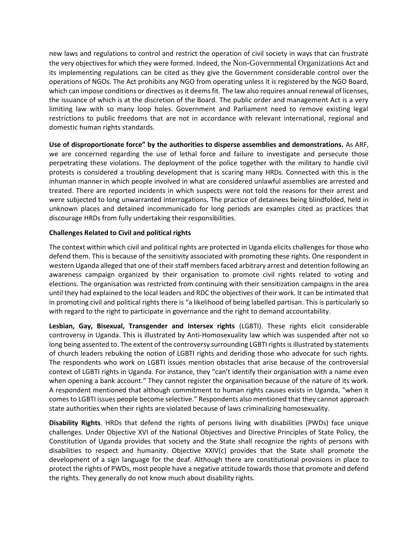new laws and regulations to control and restrict the operation of civil society in ways that can frustrate the very objectives for which they were formed. Indeed, the Non-Governmental Organizations Act and its implementing regulations can be cited as they give the Government considerable control over the operations of NGOs. The Act prohibits any NGO from operating unless it is registered by the NGO Board, which can impose conditions or directives as it deems fit. The law also requires annual renewal of licenses, the issuance of which is at the discretion of the Board. The public order and management Act is a very limiting law with so many loop holes. Government and Parliament need to remove existing legal restrictions to public freedoms that are not in accordance with relevant international, regional and domestic human rights standards.

**Use of disproportionate force" by the authorities to disperse assemblies and demonstrations.** As ARF, we are concerned regarding the use of lethal force and failure to investigate and persecute those perpetrating these violations. The deployment of the police together with the military to handle civil protests is considered a troubling development that is scaring many HRDs. Connected with this is the inhuman manner in which people involved in what are considered unlawful assemblies are arrested and treated. There are reported incidents in which suspects were not told the reasons for their arrest and were subjected to long unwarranted interrogations. The practice of detainees being blindfolded, held in unknown places and detained incommunicado for long periods are examples cited as practices that discourage HRDs from fully undertaking their responsibilities.

# **Challenges Related to Civil and political rights**

The context within which civil and political rights are protected in Uganda elicits challenges for those who defend them. This is because of the sensitivity associated with promoting these rights. One respondent in western Uganda alleged that one of their staff members faced arbitrary arrest and detention following an awareness campaign organized by their organisation to promote civil rights related to voting and elections. The organisation was restricted from continuing with their sensitization campaigns in the area until they had explained to the local leaders and RDC the objectives of their work. It can be intimated that in promoting civil and political rights there is "a likelihood of being labelled partisan. This is particularly so with regard to the right to participate in governance and the right to demand accountability.

**Lesbian, Gay, Bisexual, Transgender and Intersex rights** (LGBTI). These rights elicit considerable controversy in Uganda. This is illustrated by Anti-Homosexuality law which was suspended after not so long being assented to. The extent of the controversy surrounding LGBTI rights is illustrated by statements of church leaders rebuking the notion of LGBTI rights and deriding those who advocate for such rights. The respondents who work on LGBTI issues mention obstacles that arise because of the controversial context of LGBTI rights in Uganda. For instance, they "can't identify their organisation with a name even when opening a bank account." They cannot register the organisation because of the nature of its work. A respondent mentioned that although commitment to human rights causes exists in Uganda, "when it comes to LGBTI issues people become selective." Respondents also mentioned that they cannot approach state authorities when their rights are violated because of laws criminalizing homosexuality.

**Disability Rights**. HRDs that defend the rights of persons living with disabilities (PWDs) face unique challenges. Under Objective XVI of the National Objectives and Directive Principles of State Policy, the Constitution of Uganda provides that society and the State shall recognize the rights of persons with disabilities to respect and humanity. Objective XXIV(c) provides that the State shall promote the development of a sign language for the deaf. Although there are constitutional provisions in place to protect the rights of PWDs, most people have a negative attitude towards those that promote and defend the rights. They generally do not know much about disability rights.